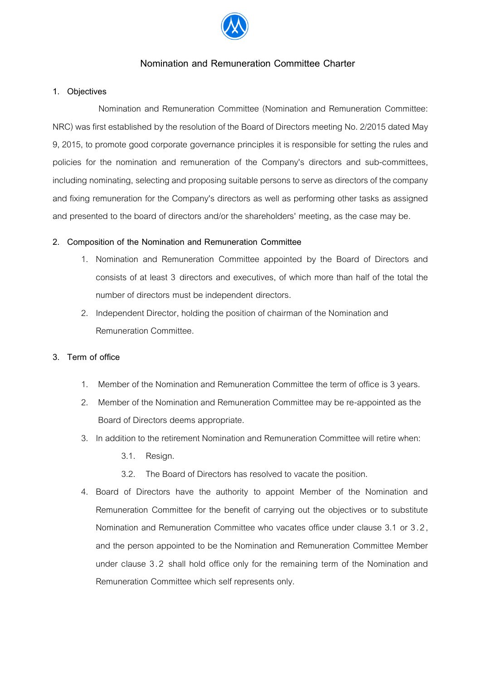

# **Nomination and Remuneration Committee Charter**

### **1. Objectives**

Nomination and Remuneration Committee (Nomination and Remuneration Committee: NRC) was first established by the resolution of the Board of Directors meeting No. 2/2015 dated May 9, 2015, to promote good corporate governance principles it is responsible for setting the rules and policies for the nomination and remuneration of the Company's directors and sub-committees, including nominating, selecting and proposing suitable persons to serve as directors of the company and fixing remuneration for the Company's directors as well as performing other tasks as assigned and presented to the board of directors and/or the shareholders' meeting, as the case may be.

### **2. Composition of the Nomination and Remuneration Committee**

- 1. Nomination and Remuneration Committee appointed by the Board of Directors and consists of at least 3 directors and executives, of which more than half of the total the number of directors must be independent directors.
- 2. Independent Director, holding the position of chairman of the Nomination and Remuneration Committee.

## **3. Term of office**

- 1. Member of the Nomination and Remuneration Committee the term of office is 3 years.
- 2. Member of the Nomination and Remuneration Committee may be re-appointed as the Board of Directors deems appropriate.
- 3. In addition to the retirement Nomination and Remuneration Committee will retire when:
	- 3.1. Resign.
	- 3.2. The Board of Directors has resolved to vacate the position.
- 4. Board of Directors have the authority to appoint Member of the Nomination and Remuneration Committee for the benefit of carrying out the objectives or to substitute Nomination and Remuneration Committee who vacates office under clause 3.1 or 3.2, and the person appointed to be the Nomination and Remuneration Committee Member under clause 3.2 shall hold office only for the remaining term of the Nomination and Remuneration Committee which self represents only.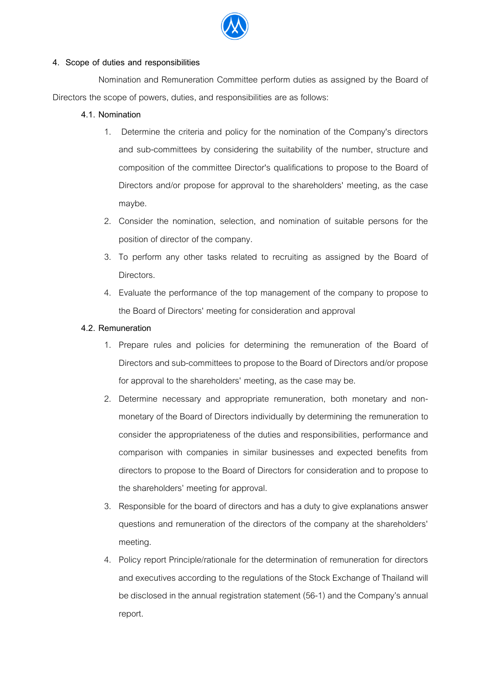

### **4. Scope of duties and responsibilities**

Nomination and Remuneration Committee perform duties as assigned by the Board of Directors the scope of powers, duties, and responsibilities are as follows:

## **4.1. Nomination**

- 1. Determine the criteria and policy for the nomination of the Company's directors and sub-committees by considering the suitability of the number, structure and composition of the committee Director's qualifications to propose to the Board of Directors and/or propose for approval to the shareholders' meeting, as the case maybe.
- 2. Consider the nomination, selection, and nomination of suitable persons for the position of director of the company.
- 3. To perform any other tasks related to recruiting as assigned by the Board of Directors.
- 4. Evaluate the performance of the top management of the company to propose to the Board of Directors' meeting for consideration and approval

### **4.2. Remuneration**

- 1. Prepare rules and policies for determining the remuneration of the Board of Directorsand sub-committees to propose to the Board of Directors and/or propose for approval to the shareholders' meeting, as the case may be.
- 2. Determine necessary and appropriate remuneration, both monetary and nonmonetary of the Board of Directors individually by determining the remuneration to consider the appropriateness of the duties and responsibilities, performance and comparison with companies in similar businesses and expected benefits from directors to propose to the Board of Directors for consideration and to propose to the shareholders' meeting for approval.
- 3. Responsible for the board of directors and has a duty to give explanations answer questions and remuneration of the directors of the company at the shareholders' meeting.
- 4. Policy report Principle/rationale for the determination of remuneration for directors and executives according to the regulations of the Stock Exchange of Thailand will be disclosed in the annual registration statement (56-1) and the Company's annual report.